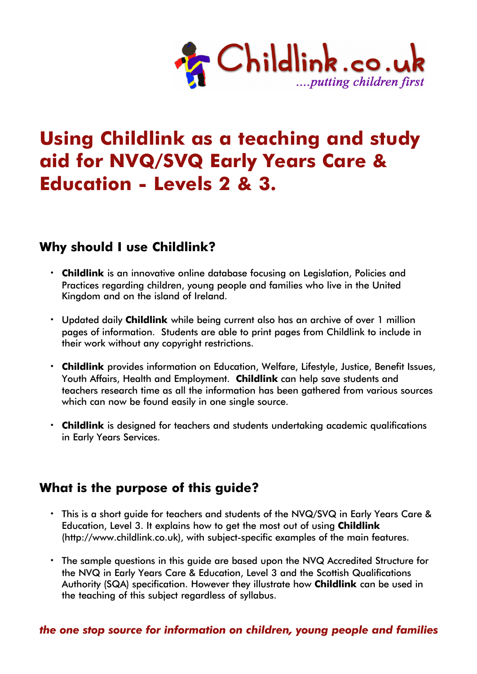

# **Using Childlink as a teaching and study aid for NVQ/SVQ Early Years Care & Education - Levels 2 & 3.**

## **Why should I use Childlink?**

- **· Childlink** is an innovative online database focusing on Legislation, Policies and Practices regarding children, young people and families who live in the United Kingdom and on the island of Ireland.
- **·** Updated daily **Childlink** while being current also has an archive of over 1 million pages of information. Students are able to print pages from Childlink to include in their work without any copyright restrictions.
- **· Childlink** provides information on Education, Welfare, Lifestyle, Justice, Benefit Issues, Youth Affairs, Health and Employment. **Childlink** can help save students and teachers research time as all the information has been gathered from various sources which can now be found easily in one single source.
- **· Childlink** is designed for teachers and students undertaking academic qualifications in Early Years Services.

## **What is the purpose of this guide?**

- **·** This is a short guide for teachers and students of the NVQ/SVQ in Early Years Care & Education, Level 3. It explains how to get the most out of using **Childlink** (http://www.childlink.co.uk), with subject-specific examples of the main features.
- **·** The sample questions in this guide are based upon the NVQ Accredited Structure for the NVQ in Early Years Care & Education, Level 3 and the Scottish Qualifications Authority (SQA) specification. However they illustrate how **Childlink** can be used in the teaching of this subject regardless of syllabus.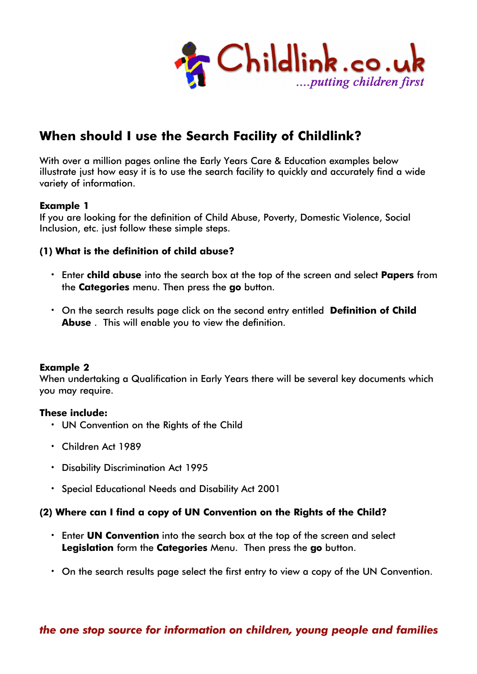

# **When should I use the Search Facility of Childlink?**

With over a million pages online the Early Years Care & Education examples below illustrate just how easy it is to use the search facility to quickly and accurately find a wide variety of information.

#### **Example 1**

If you are looking for the definition of Child Abuse, Poverty, Domestic Violence, Social Inclusion, etc. just follow these simple steps.

#### **(1) What is the definition of child abuse?**

- **·** Enter **child abuse** into the search box at the top of the screen and select **Papers** from the **Categories** menu. Then press the **go** button.
- **•** On the search results page click on the second entry entitled Definition of Child **Abuse** . This will enable you to view the definition.

#### **Example 2**

When undertaking a Qualification in Early Years there will be several key documents which you may require.

#### **These include:**

- **·** UN Convention on the Rights of the Child
- **·** Children Act 1989
- **·** Disability Discrimination Act 1995
- **·** Special Educational Needs and Disability Act 2001

#### **(2) Where can I find a copy of UN Convention on the Rights of the Child?**

- **·** Enter **UN Convention** into the search box at the top of the screen and select **Legislation** form the **Categories** Menu. Then press the **go** button.
- **·** On the search results page select the first entry to view a copy of the UN Convention.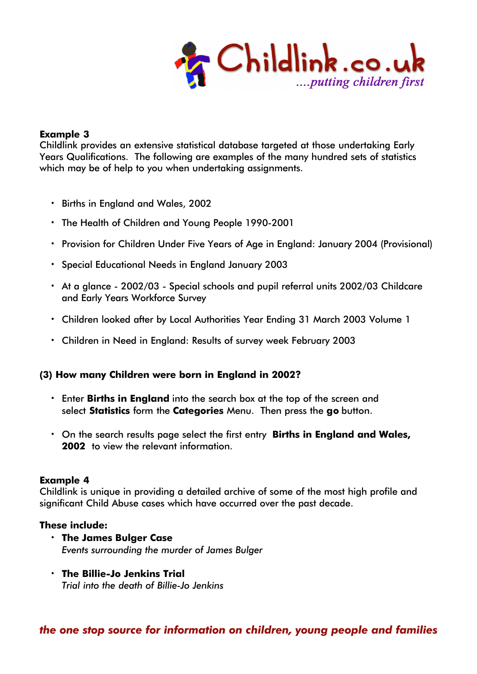

#### **Example 3**

Childlink provides an extensive statistical database targeted at those undertaking Early Years Qualifications. The following are examples of the many hundred sets of statistics which may be of help to you when undertaking assignments.

- **·** Births in England and Wales, 2002
- **·** The Health of Children and Young People 1990-2001
- **·** Provision for Children Under Five Years of Age in England: January 2004 (Provisional)
- **·** Special Educational Needs in England January 2003
- **·** At a glance 2002/03 Special schools and pupil referral units 2002/03 Childcare and Early Years Workforce Survey
- **·** Children looked after by Local Authorities Year Ending 31 March 2003 Volume 1
- **·** Children in Need in England: Results of survey week February 2003

#### **(3) How many Children were born in England in 2002?**

- **·** Enter **Births in England** into the search box at the top of the screen and select **Statistics** form the **Categories** Menu. Then press the **go** button.
- **•** On the search results page select the first entry **Births in England and Wales, 2002'** to view the relevant information.

#### **Example 4**

Childlink is unique in providing a detailed archive of some of the most high profile and significant Child Abuse cases which have occurred over the past decade.

#### **These include:**

- **· The James Bulger Case** *Events surrounding the murder of James Bulger*
- **· The Billie-Jo Jenkins Trial** *Trial into the death of Billie-Jo Jenkins*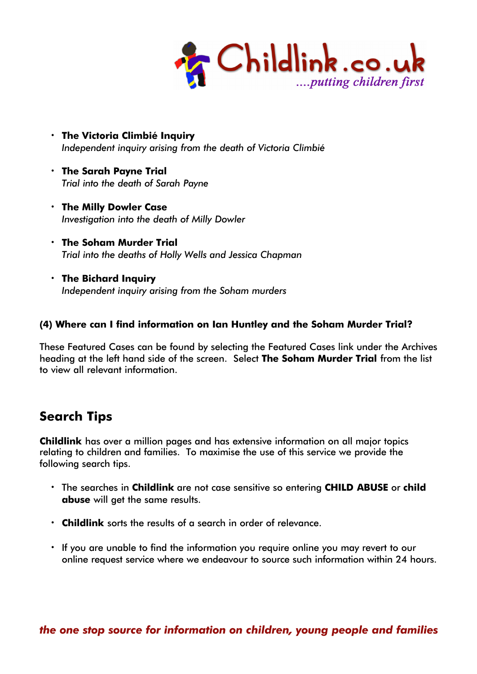

- **· The Victoria Climbié Inquiry** *Independent inquiry arising from the death of Victoria Climbié*
- **· The Sarah Payne Trial** *Trial into the death of Sarah Payne*
- **· The Milly Dowler Case** *Investigation into the death of Milly Dowler*
- **· The Soham Murder Trial** *Trial into the deaths of Holly Wells and Jessica Chapman*
- **· The Bichard Inquiry** *Independent inquiry arising from the Soham murders*

### **(4) Where can I find information on Ian Huntley and the Soham Murder Trial?**

These Featured Cases can be found by selecting the Featured Cases link under the Archives heading at the left hand side of the screen. Select **The Soham Murder Trial** from the list to view all relevant information.

## **Search Tips**

**Childlink** has over a million pages and has extensive information on all major topics relating to children and families. To maximise the use of this service we provide the following search tips.

- **·** The searches in **Childlink** are not case sensitive so entering **CHILD ABUSE** or **child abuse** will get the same results.
- **· Childlink** sorts the results of a search in order of relevance.
- **·** If you are unable to find the information you require online you may revert to our online request service where we endeavour to source such information within 24 hours.